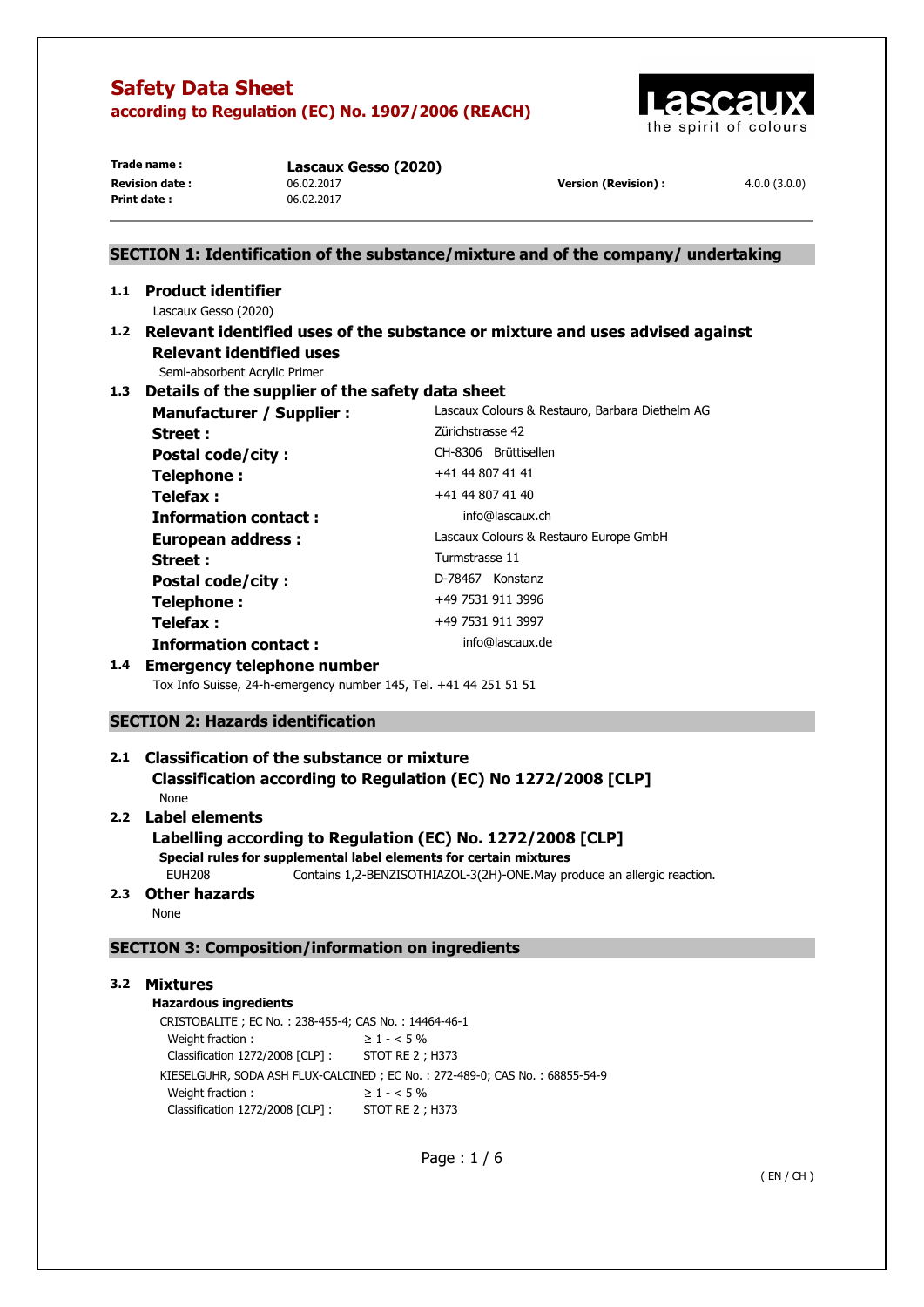

| Trade name:           |  |
|-----------------------|--|
| <b>Revision date:</b> |  |
| Print date:           |  |

Lascaux Gesso (2020) **Revision date :** 06.02.2017 **Version (Revision) :** 4.0.0 (3.0.0) **Print date :** 06.02.2017

# **SECTION 1: Identification of the substance/mixture and of the company/ undertaking 1.1 Product identifier**  Lascaux Gesso (2020) **1.2 Relevant identified uses of the substance or mixture and uses advised against Relevant identified uses**  Semi-absorbent Acrylic Primer **1.3 Details of the supplier of the safety data sheet Manufacturer / Supplier :** Lascaux Colours & Restauro, Barbara Diethelm AG **Street : Zürichstrasse 42** Postal code/city : CH-8306 Brüttisellen **Telephone :**  $+41 44 807 41 41$ **Telefax :**  $+41 44 807 41 40$ **Information contact : info@lascaux.ch European address :** Lascaux Colours & Restauro Europe GmbH Street : Turmstrasse 11 Postal code/city : D-78467 Konstanz **Telephone :**  $+49\,7531\,911\,3996$ **Telefax :** +49 7531 911 3997 **Information contact : info@lascaux.de 1.4 Emergency telephone number**  Tox Info Suisse, 24-h-emergency number 145, Tel. +41 44 251 51 51

# **SECTION 2: Hazards identification**

# **2.1 Classification of the substance or mixture Classification according to Regulation (EC) No 1272/2008 [CLP]**

# None

# **2.2 Label elements**

# **Labelling according to Regulation (EC) No. 1272/2008 [CLP]**

**Special rules for supplemental label elements for certain mixtures** 

EUH208 Contains 1,2-BENZISOTHIAZOL-3(2H)-ONE.May produce an allergic reaction.

# **2.3 Other hazards**

None

# **SECTION 3: Composition/information on ingredients**

# **3.2 Mixtures**

# **Hazardous ingredients**

CRISTOBALITE ; EC No. : 238-455-4; CAS No. : 14464-46-1 Weight fraction :  $\geq 1 - 5\%$ Classification 1272/2008 [CLP] : STOT RE 2 ; H373 KIESELGUHR, SODA ASH FLUX-CALCINED ; EC No. : 272-489-0; CAS No. : 68855-54-9 Weight fraction :  $\geq 1 - 5\%$ Classification 1272/2008 [CLP] : STOT RE 2 ; H373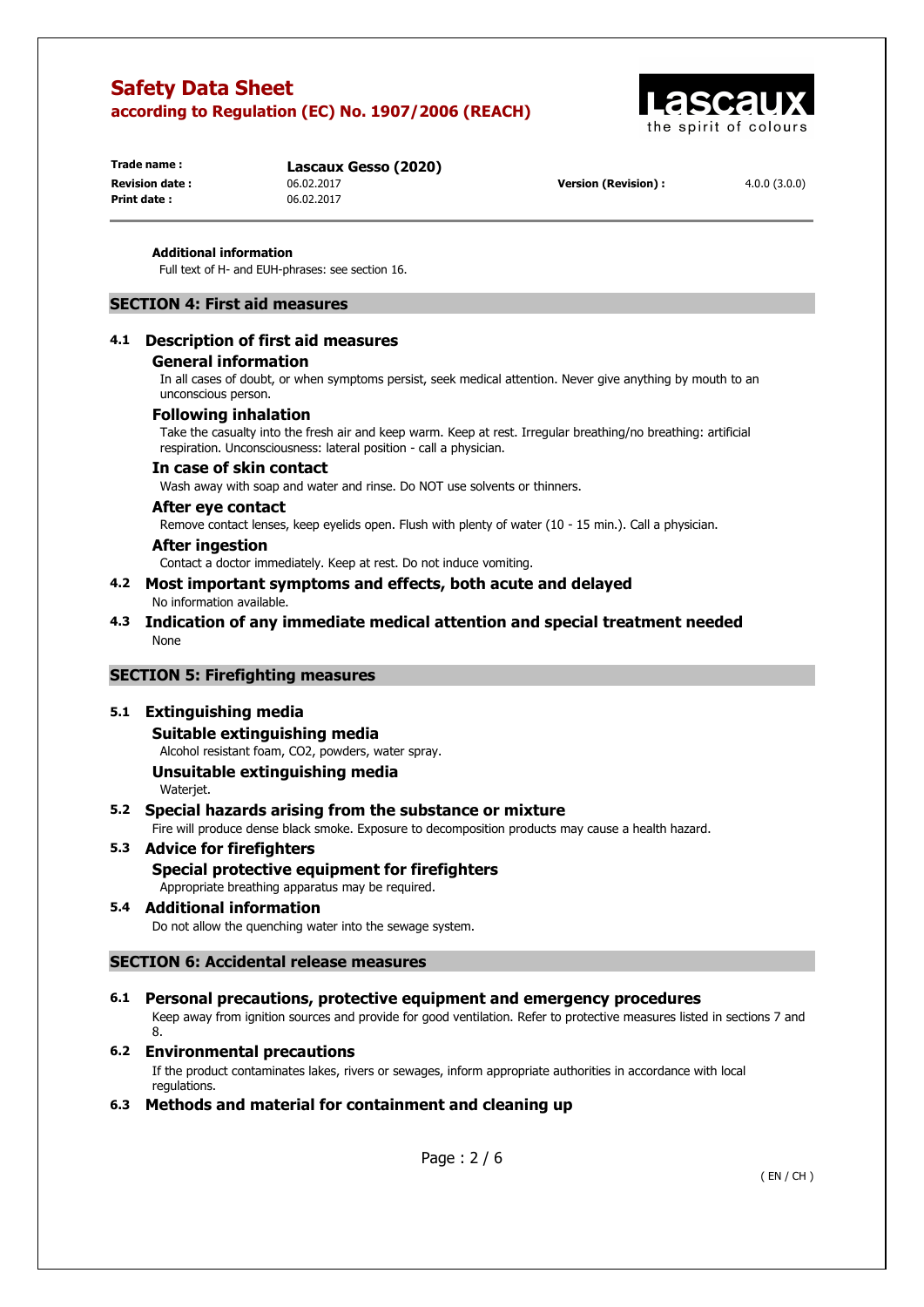

**Print date :** 06.02.2017

**Trade name : Lascaux Gesso (2020)**

**Revision date :** 06.02.2017 **Version (Revision) :** 4.0.0 (3.0.0)

#### **Additional information**

Full text of H- and EUH-phrases: see section 16.

### **SECTION 4: First aid measures**

#### **4.1 Description of first aid measures**

#### **General information**

In all cases of doubt, or when symptoms persist, seek medical attention. Never give anything by mouth to an unconscious person.

### **Following inhalation**

Take the casualty into the fresh air and keep warm. Keep at rest. Irregular breathing/no breathing: artificial respiration. Unconsciousness: lateral position - call a physician.

#### **In case of skin contact**

Wash away with soap and water and rinse. Do NOT use solvents or thinners.

### **After eye contact**

Remove contact lenses, keep eyelids open. Flush with plenty of water (10 - 15 min.). Call a physician.

#### **After ingestion**

Contact a doctor immediately. Keep at rest. Do not induce vomiting.

#### **4.2 Most important symptoms and effects, both acute and delayed**  No information available.

**4.3 Indication of any immediate medical attention and special treatment needed**  None

#### **SECTION 5: Firefighting measures**

#### **5.1 Extinguishing media**

#### **Suitable extinguishing media**

Alcohol resistant foam, CO2, powders, water spray.

# **Unsuitable extinguishing media**

Wateriet.

### **5.2 Special hazards arising from the substance or mixture**

Fire will produce dense black smoke. Exposure to decomposition products may cause a health hazard.

# **5.3 Advice for firefighters**

**Special protective equipment for firefighters**  Appropriate breathing apparatus may be required.

#### **5.4 Additional information**  Do not allow the quenching water into the sewage system.

# **SECTION 6: Accidental release measures**

**6.1 Personal precautions, protective equipment and emergency procedures**  Keep away from ignition sources and provide for good ventilation. Refer to protective measures listed in sections 7 and 8.

#### **6.2 Environmental precautions**  If the product contaminates lakes, rivers or sewages, inform appropriate authorities in accordance with local regulations.

**6.3 Methods and material for containment and cleaning up**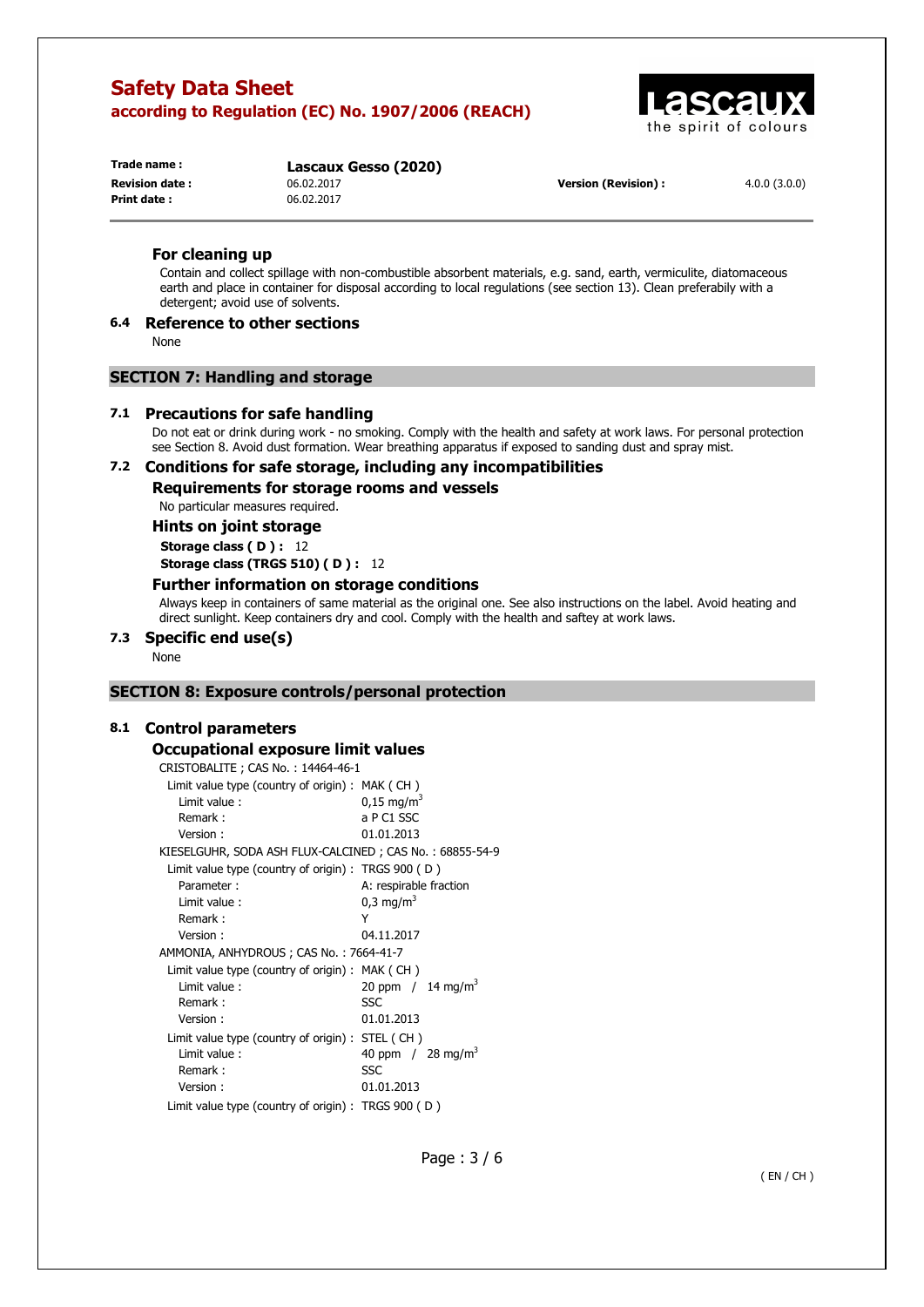

**Print date :** 06.02.2017

**Trade name : Lascaux Gesso (2020) Revision date :** 06.02.2017 **Version (Revision) :** 4.0.0 (3.0.0)

#### **For cleaning up**

Contain and collect spillage with non-combustible absorbent materials, e.g. sand, earth, vermiculite, diatomaceous earth and place in container for disposal according to local regulations (see section 13). Clean preferabily with a detergent; avoid use of solvents.

# **6.4 Reference to other sections**

None

# **SECTION 7: Handling and storage**

#### **7.1 Precautions for safe handling**

Do not eat or drink during work - no smoking. Comply with the health and safety at work laws. For personal protection see Section 8. Avoid dust formation. Wear breathing apparatus if exposed to sanding dust and spray mist.

# **7.2 Conditions for safe storage, including any incompatibilities**

**Requirements for storage rooms and vessels** 

No particular measures required.

**Hints on joint storage** 

**Storage class ( D ) :** 12

**Storage class (TRGS 510) ( D ) :** 12

# **Further information on storage conditions**

Always keep in containers of same material as the original one. See also instructions on the label. Avoid heating and direct sunlight. Keep containers dry and cool. Comply with the health and saftey at work laws.

# **7.3 Specific end use(s)**

None

# **SECTION 8: Exposure controls/personal protection**

# **8.1 Control parameters**

#### **Occupational exposure limit values**

CRISTOBALITE ; CAS No. : 14464-46-1

| Limit value type (country of origin): MAK (CH)          |                                 |
|---------------------------------------------------------|---------------------------------|
| Limit value:                                            | $0,15 \text{ mg/m}^3$           |
| Remark:                                                 | a P C1 SSC                      |
| Version:                                                | 01.01.2013                      |
| KIESELGUHR, SODA ASH FLUX-CALCINED; CAS No.: 68855-54-9 |                                 |
| Limit value type (country of origin) : TRGS $900$ (D)   |                                 |
| Parameter:                                              | A: respirable fraction          |
| Limit value:                                            | $0.3 \text{ mg/m}^3$            |
| Remark:                                                 | Y                               |
| Version:                                                | 04.11.2017                      |
| AMMONIA, ANHYDROUS; CAS No.: 7664-41-7                  |                                 |
| Limit value type (country of origin): MAK (CH)          |                                 |
| Limit value:                                            | 20 ppm $/14$ mg/m <sup>3</sup>  |
| Remark:                                                 | SSC                             |
| Version:                                                | 01.01.2013                      |
| Limit value type (country of origin): STEL (CH)         |                                 |
| Limit value:                                            | 40 ppm $/$ 28 mg/m <sup>3</sup> |
| Remark:                                                 | SSC                             |
| Version:                                                | 01.01.2013                      |
| Limit value type (country of origin) : TRGS 900 (D)     |                                 |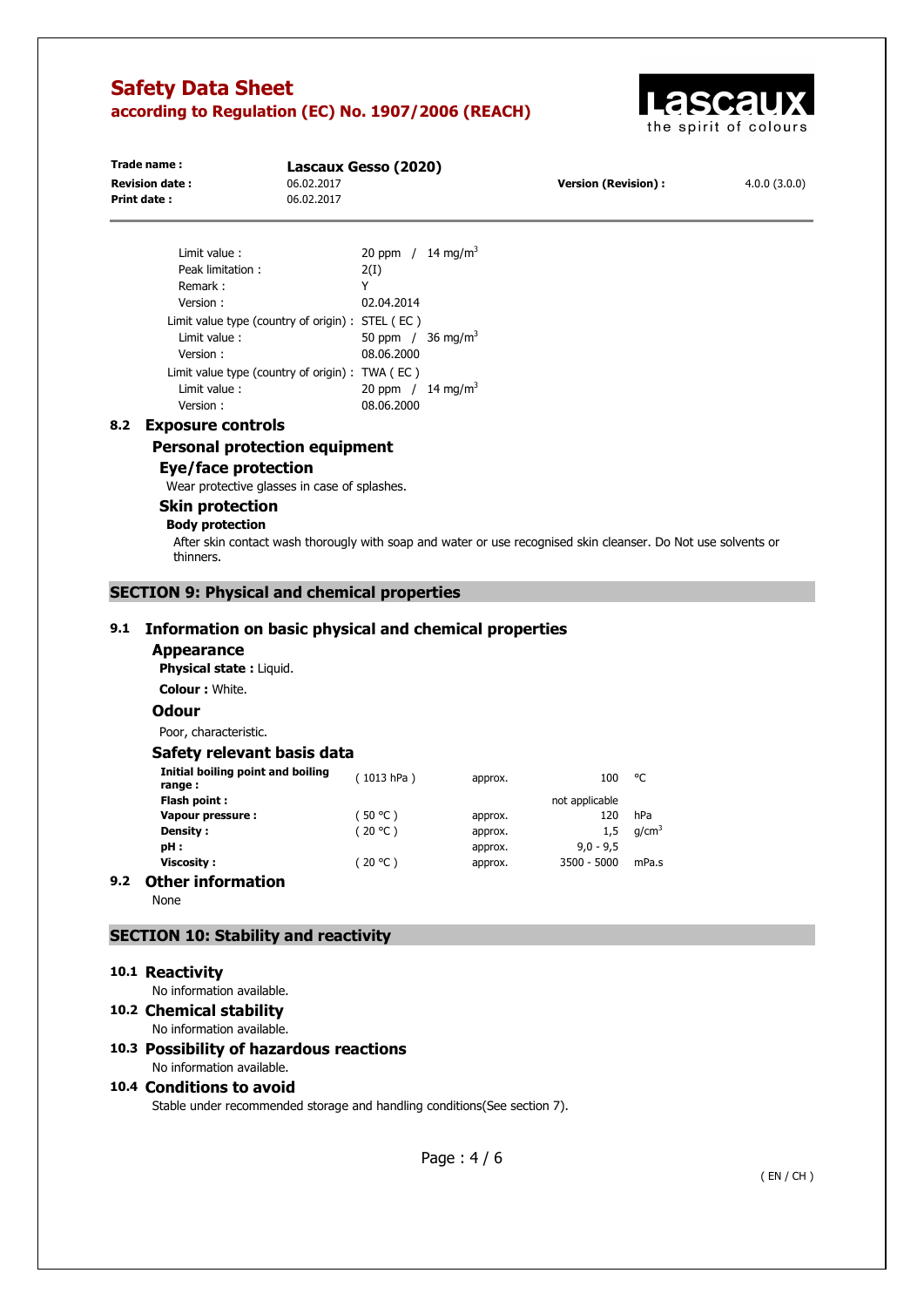

| Trade name:           | Lascaux Gesso (2020) |                            |              |
|-----------------------|----------------------|----------------------------|--------------|
| <b>Revision date:</b> | 06.02.2017           | <b>Version (Revision):</b> | 4.0.0(3.0.0) |
| Print date:           | 06.02.2017           |                            |              |
|                       |                      |                            |              |
|                       |                      |                            |              |
|                       |                      |                            |              |

| Limit value:                                     | 20 ppm / $14 \text{ mg/m}^3$    |
|--------------------------------------------------|---------------------------------|
| Peak limitation:                                 | 2(I)                            |
| Remark:                                          | Y                               |
| Version:                                         | 02.04.2014                      |
| Limit value type (country of origin) : STEL (EC) |                                 |
| Limit value:                                     | 50 ppm $/$ 36 mg/m <sup>3</sup> |
| Version:                                         | 08.06.2000                      |
| Limit value type (country of origin) : TWA (EC)  |                                 |
| Limit value:                                     | 20 ppm $/14$ mg/m <sup>3</sup>  |
| Version :                                        | 08.06.2000                      |

#### **8.2 Exposure controls**

#### **Personal protection equipment**

# **Eye/face protection**

Wear protective glasses in case of splashes.

#### **Skin protection Body protection**

After skin contact wash thorougly with soap and water or use recognised skin cleanser. Do Not use solvents or thinners.

# **SECTION 9: Physical and chemical properties**

# **9.1 Information on basic physical and chemical properties**

**Appearance** 

**Physical state :** Liquid. **Colour :** White.

#### **Odour**

Poor, characteristic.

#### **Safety relevant basis data**

|     | Initial boiling point and boiling<br>range: | (1013 hPa) | approx. | 100            | °C                |
|-----|---------------------------------------------|------------|---------|----------------|-------------------|
|     | Flash point:                                |            |         | not applicable |                   |
|     | Vapour pressure:                            | (50 °C )   | approx. | 120            | hPa               |
|     | Density :                                   | (20 °C)    | approx. | 1.5            | q/cm <sup>3</sup> |
|     | pH :                                        |            | approx. | $9.0 - 9.5$    |                   |
|     | Viscosity:                                  | (20 °C )   | approx. | $3500 - 5000$  | mPa.s             |
| 9.2 | <b>Other information</b>                    |            |         |                |                   |

None

### **SECTION 10: Stability and reactivity**

#### **10.1 Reactivity**

No information available.

**10.2 Chemical stability** 

No information available.

#### **10.3 Possibility of hazardous reactions**  No information available.

# **10.4 Conditions to avoid**

Stable under recommended storage and handling conditions(See section 7).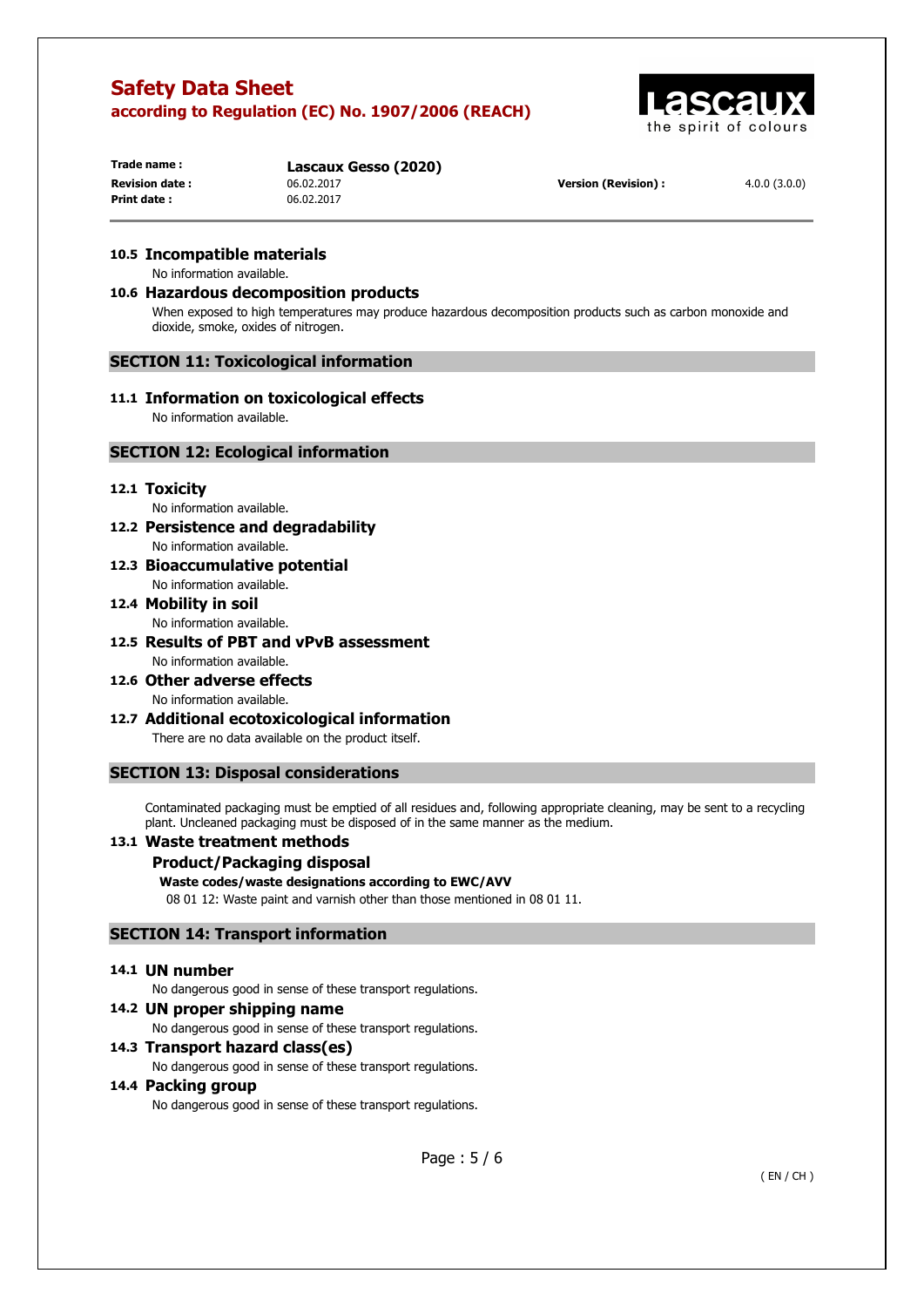

**Print date :** 06.02.2017

**Trade name : Lascaux Gesso (2020)**

**Revision date :** 06.02.2017 **Version (Revision) :** 4.0.0 (3.0.0)

# **10.5 Incompatible materials**

No information available.

# **10.6 Hazardous decomposition products**

When exposed to high temperatures may produce hazardous decomposition products such as carbon monoxide and dioxide, smoke, oxides of nitrogen.

#### **SECTION 11: Toxicological information**

# **11.1 Information on toxicological effects**

No information available.

#### **SECTION 12: Ecological information**

#### **12.1 Toxicity**

No information available.

- **12.2 Persistence and degradability**  No information available.
- **12.3 Bioaccumulative potential**  No information available.

#### **12.4 Mobility in soil**  No information available.

- **12.5 Results of PBT and vPvB assessment**  No information available.
- **12.6 Other adverse effects**  No information available.
- **12.7 Additional ecotoxicological information**  There are no data available on the product itself.

# **SECTION 13: Disposal considerations**

Contaminated packaging must be emptied of all residues and, following appropriate cleaning, may be sent to a recycling plant. Uncleaned packaging must be disposed of in the same manner as the medium.

# **13.1 Waste treatment methods**

#### **Product/Packaging disposal**

#### **Waste codes/waste designations according to EWC/AVV**

08 01 12: Waste paint and varnish other than those mentioned in 08 01 11.

# **SECTION 14: Transport information**

#### **14.1 UN number**

No dangerous good in sense of these transport regulations.

**14.2 UN proper shipping name**  No dangerous good in sense of these transport regulations.

# **14.3 Transport hazard class(es)**

No dangerous good in sense of these transport regulations.

# **14.4 Packing group**

No dangerous good in sense of these transport regulations.